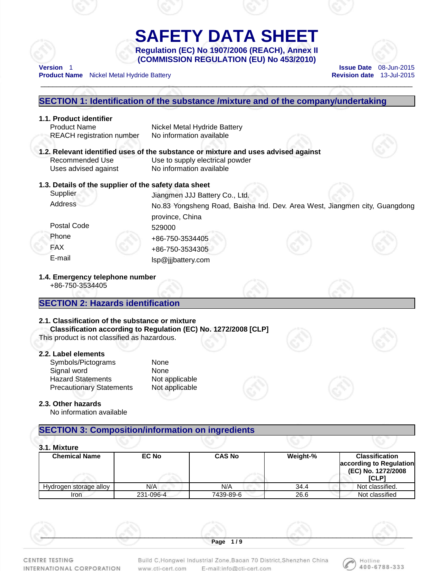# **SAFETY DATA SHEET Regulation (EC) No 1907/2006 (REACH), Annex II**

\_\_\_\_\_\_\_\_\_\_\_\_\_\_\_\_\_\_\_\_\_\_\_\_\_\_\_\_\_\_\_\_\_\_\_\_\_\_\_\_\_\_\_\_\_\_\_\_\_\_\_\_\_\_\_\_\_\_\_\_\_\_\_\_\_\_\_\_\_\_\_\_\_\_\_\_\_\_\_\_\_\_\_\_\_\_\_\_\_\_\_\_\_

**(COMMISSION REGULATION (EU) No 453/2010) Version** 1 **Issue Date** 08-Jun-2015



**Product Name** Nickel Metal Hydride Battery **Revision date 13-Jul-2015** 

# **SECTION 1: Identification of the substance /mixture and of the company/undertaking 1.1. Product identifier**  Product Name Nickel Metal Hydride Battery REACH registration number No information available **1.2. Relevant identified uses of the substance or mixture and uses advised against**  Recommended Use Use Use to supply electrical powder Uses advised against No information available **1.3. Details of the supplier of the safety data sheet**  Supplier Juangmen JJJ Battery Co., Ltd. Address No.83 Yongsheng Road, Baisha Ind. Dev. Area West, Jiangmen city, Guangdong province, China Postal Code 529000 Phone +86-750-3534405 FAX +86-750-3534305 E-mail lsp@jjjbattery.com **1.4. Emergency telephone number**  +86-750-3534405 **SECTION 2: Hazards identification 2.1. Classification of the substance or mixture Classification according to Regulation (EC) No. 1272/2008 [CLP]**  This product is not classified as hazardous. **2.2. Label elements**  Symbols/Pictograms None Signal word None Hazard Statements Not applicable Precautionary Statements Not applicable **2.3. Other hazards**  No information available **SECTION 3: Composition/information on ingredients**

|  | 3.1. Mixture |
|--|--------------|
|--|--------------|

| J. I. MIXUIE           |              |               |          |                                                                                 |
|------------------------|--------------|---------------|----------|---------------------------------------------------------------------------------|
| <b>Chemical Name</b>   | <b>EC No</b> | <b>CAS No</b> | Weight-% | <b>Classification</b><br>according to Regulation<br>(EC) No. 1272/2008<br>[CLP] |
| Hydrogen storage alloy | N/A          | N/A           | 34.4     | Not classified.                                                                 |
| Iron                   | 231-096-4    | 7439-89-6     | 26.6     | Not classified                                                                  |

**CENTRE TESTING** 

INTERNATIONAL CORPORATION

Build C, Hongwei Industrial Zone, Baoan 70 District, Shenzhen China E-mail:info@cti-cert.com www.cti-cert.com

\_\_\_\_\_\_\_\_\_\_\_\_\_\_\_\_\_\_\_\_\_\_\_\_\_\_\_\_\_\_\_\_\_\_\_\_\_\_\_\_\_\_\_\_\_\_\_\_\_\_\_\_\_\_\_\_\_\_\_\_\_\_\_\_\_\_\_\_\_\_\_\_\_\_\_\_\_\_\_\_\_\_\_\_\_\_\_\_\_\_\_\_\_ **Page 1 / 9** 

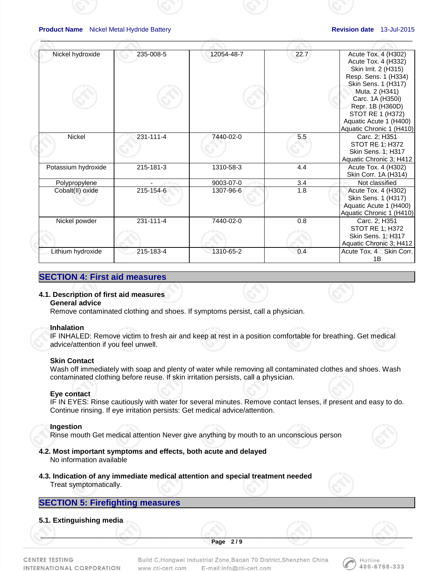| Nickel hydroxide    | 235-008-5 | 12054-48-7 | 22.7 | Acute Tox. 4 (H302)<br>Acute Tox. 4 (H332)<br>Skin Irrit. 2 (H315)<br>Resp. Sens. 1 (H334)<br>Skin Sens. 1 (H317)<br>Muta. 2 (H341)<br>Carc. 1A (H350i)<br>Repr. 1B (H360D)<br>STOT RE 1 (H372)<br>Aquatic Acute 1 (H400)<br>Aquatic Chronic 1 (H410) |
|---------------------|-----------|------------|------|-------------------------------------------------------------------------------------------------------------------------------------------------------------------------------------------------------------------------------------------------------|
| Nickel              | 231-111-4 | 7440-02-0  | 5.5  | Carc. 2; H351<br><b>STOT RE 1; H372</b><br>Skin Sens. 1; H317<br>Aquatic Chronic 3; H412                                                                                                                                                              |
| Potassium hydroxide | 215-181-3 | 1310-58-3  | 4.4  | Acute Tox. 4 (H302)<br>Skin Corr. 1A (H314)                                                                                                                                                                                                           |
| Polypropylene       |           | 9003-07-0  | 3.4  | Not classified                                                                                                                                                                                                                                        |
| Cobalt(II) oxide    | 215-154-6 | 1307-96-6  | 1.8  | Acute Tox. 4 (H302)<br>Skin Sens. 1 (H317)<br>Aquatic Acute 1 (H400)<br>Aquatic Chronic 1 (H410)                                                                                                                                                      |
| Nickel powder       | 231-111-4 | 7440-02-0  | 0.8  | Carc. 2; H351<br><b>STOT RE 1; H372</b><br>Skin Sens. 1; H317<br>Aquatic Chronic 3; H412                                                                                                                                                              |
| Lithium hydroxide   | 215-183-4 | 1310-65-2  | 0.4  | Acute Tox. 4 Skin Corr.<br>1B                                                                                                                                                                                                                         |

 $\mathcal{A}^{\otimes n}$  , and the contract of the contract of the contract of the contract of the contract of the contract of the contract of the contract of the contract of the contract of the contract of the contract of the cont

## **SECTION 4: First aid measures**

## **4.1. Description of first aid measures**

## **General advice**

Remove contaminated clothing and shoes. If symptoms persist, call a physician.

## **Inhalation**

IF INHALED: Remove victim to fresh air and keep at rest in a position comfortable for breathing. Get medical advice/attention if you feel unwell.

## **Skin Contact**

Wash off immediately with soap and plenty of water while removing all contaminated clothes and shoes. Wash contaminated clothing before reuse. If skin irritation persists, call a physician.

## **Eye contact**

IF IN EYES: Rinse cautiously with water for several minutes. Remove contact lenses, if present and easy to do. Continue rinsing. If eye irritation persists: Get medical advice/attention.

## **Ingestion**

Rinse mouth Get medical attention Never give anything by mouth to an unconscious person

## **4.2. Most important symptoms and effects, both acute and delayed**

No information available

- **4.3. Indication of any immediate medical attention and special treatment needed** 
	- Treat symptomatically.

## **SECTION 5: Firefighting measures**

## **5.1. Extinguishing media**

 $\mathcal{S}$  , and the contribution of  $\mathcal{S}$  , and  $\mathcal{S}$  , and  $\mathcal{S}$  , and  $\mathcal{S}$  , and  $\mathcal{S}$  , and  $\mathcal{S}$  , and  $\mathcal{S}$  , and  $\mathcal{S}$  , and  $\mathcal{S}$  , and  $\mathcal{S}$  , and  $\mathcal{S}$  , and  $\mathcal{S}$  , and  $\mathcal{S$ **Page 2 / 9** 

CENTRE TESTING INTERNATIONAL CORPORATION

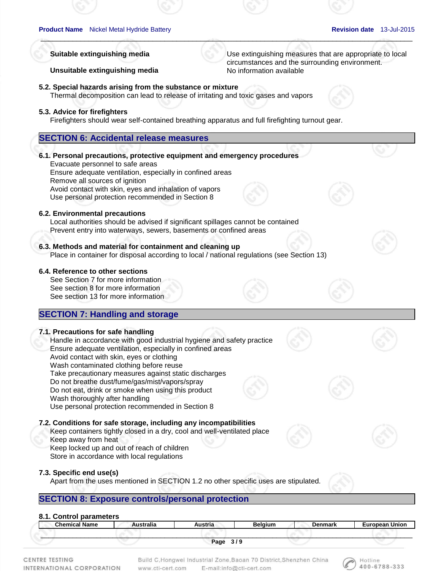Hotline 400-6788-333

## **Unsuitable extinguishing media** No information available

**Suitable extinguishing media** Use extinguishing measures that are appropriate to local circumstances and the surrounding environment.

**5.2. Special hazards arising from the substance or mixture**  Thermal decomposition can lead to release of irritating and toxic gases and vapors

## **5.3. Advice for firefighters**

Firefighters should wear self-contained breathing apparatus and full firefighting turnout gear.

 $\mathcal{A}^{\otimes n}$  , and the contract of the contract of the contract of the contract of the contract of the contract of the contract of the contract of the contract of the contract of the contract of the contract of the cont

## **SECTION 6: Accidental release measures**

## **6.1. Personal precautions, protective equipment and emergency procedures**

Evacuate personnel to safe areas Ensure adequate ventilation, especially in confined areas Remove all sources of ignition Avoid contact with skin, eyes and inhalation of vapors Use personal protection recommended in Section 8

## **6.2. Environmental precautions**

Local authorities should be advised if significant spillages cannot be contained Prevent entry into waterways, sewers, basements or confined areas

## **6.3. Methods and material for containment and cleaning up**

Place in container for disposal according to local / national regulations (see Section 13)

## **6.4. Reference to other sections**

See Section 7 for more information See section 8 for more information See section 13 for more information

## **SECTION 7: Handling and storage**

## **7.1. Precautions for safe handling**

Handle in accordance with good industrial hygiene and safety practice Ensure adequate ventilation, especially in confined areas Avoid contact with skin, eyes or clothing Wash contaminated clothing before reuse Take precautionary measures against static discharges Do not breathe dust/fume/gas/mist/vapors/spray Do not eat, drink or smoke when using this product Wash thoroughly after handling Use personal protection recommended in Section 8

## **7.2. Conditions for safe storage, including any incompatibilities**

Keep containers tightly closed in a dry, cool and well-ventilated place Keep away from heat

Keep locked up and out of reach of children

Store in accordance with local regulations

## **7.3. Specific end use(s)**

Apart from the uses mentioned in SECTION 1.2 no other specific uses are stipulated.

## **SECTION 8: Exposure controls/personal protection**

## **8.1. Control parameters**

| <b>Chemical Name</b> |      | Belaium    | Denmark | Furonosn I |
|----------------------|------|------------|---------|------------|
|                      |      |            |         |            |
|                      | Page | <u> 10</u> |         |            |

CENTRE TESTING INTERNATIONAL CORPORATION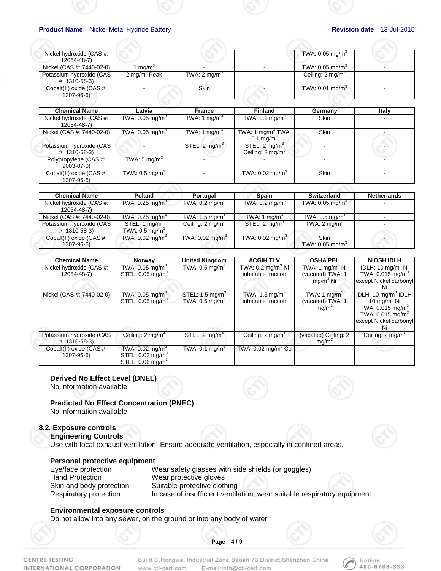| Nickel hydroxide (CAS #:<br>12054-48-7)   |                          |                         | TWA: $0.05 \text{ mg/m}^3$    |  |
|-------------------------------------------|--------------------------|-------------------------|-------------------------------|--|
|                                           |                          |                         |                               |  |
| Nickel (CAS #: 7440-02-0)                 | ma/m <sup>o</sup>        |                         | TWA: $0.05$ mg/m <sup>3</sup> |  |
| Potassium hydroxide (CAS<br>#: 1310-58-3) | 2 mg/m <sup>3</sup> Peak | TWA: $2 \text{ mq/m}^3$ | Ceiling: 2 mg/m <sup>3</sup>  |  |
| Cobalt(II) oxide (CAS #:<br>1307-96-6)    |                          | Skin                    | TWA: $0.01$ mg/m <sup>3</sup> |  |
|                                           |                          |                         |                               |  |

 $\mathcal{A}^{\otimes n}$  , and the contract of the contract of the contract of the contract of the contract of the contract of the contract of the contract of the contract of the contract of the contract of the contract of the cont

| Latvia                        | <b>France</b>            | <b>Finland</b>                                          | Germany           | Italy                    |
|-------------------------------|--------------------------|---------------------------------------------------------|-------------------|--------------------------|
| TWA: 0.05 mg/m $^3$           | TWA: 1 $mq/m3$           | TWA: $0.1 \text{ mg/m}^3$                               | Skin              |                          |
| TWA: $0.05$ mg/m <sup>3</sup> | TWA: 1 mg/m <sup>3</sup> | TWA: 1 $mg/m3 TWA$ :<br>0.1 mg/m <sup>3</sup>           | Skin              |                          |
|                               | STEL: $2 \text{ mg/m}^3$ | STEL: $2 \text{ mg/m}^3$<br>Ceiling: $2 \text{ mg/m}^3$ |                   | $\overline{\phantom{0}}$ |
| TWA: $5 \text{ mg/m}^3$       |                          |                                                         |                   |                          |
| TWA: $0.5 \text{ mg/m}^3$     |                          | TWA: $0.02 \text{ mg/m}^3$                              | Skin<br>a the way |                          |
|                               |                          |                                                         |                   |                          |

| <b>Chemical Name</b>                    | Poland                        | Portugal                      | <b>Spain</b>               | Switzerland                   | <b>Netherlands</b> |
|-----------------------------------------|-------------------------------|-------------------------------|----------------------------|-------------------------------|--------------------|
| Nickel hydroxide (CAS #:<br>12054-48-7) | TWA: $0.25$ mg/m <sup>3</sup> | TWA: $0.2$ mg/m <sup>3</sup>  | TWA: $0.2 \text{ mg/m}^3$  | TWA: $0.05$ mg/m <sup>3</sup> |                    |
| Nickel (CAS #: 7440-02-0)               | TWA: 0.25 mg/m $^3$           | TWA: $1.5 \text{ mg/m}^3$     | TWA: 1 $mq/m3$             | TWA: $0.5$ mg/m <sup>3</sup>  |                    |
| Potassium hydroxide (CAS                | STEL: 1 mg/m $3$              | Ceiling: $2 \text{ mg/m}^3$   | STEL: 2 mg/m <sup>3</sup>  | TWA: $2 \text{ mg/m}^3$       |                    |
| #: 1310-58-3)                           | TWA: $0.5 \text{ mg/m}^3$     |                               |                            |                               |                    |
| Cobalt(II) oxide (CAS #:                | TWA: 0.02 mg/m $3$            | TWA: $0.02$ mg/m <sup>3</sup> | TWA: $0.02 \text{ mg/m}^3$ | Skin                          |                    |
| 1307-96-6)                              |                               |                               |                            | TWA: $0.05$ mg/m <sup>3</sup> |                    |

| <b>Chemical Name</b>                      | Norway                                                                                      | <b>United Kingdom</b>                                   | <b>ACGIH TLV</b>                                   | <b>OSHA PEL</b>                                                   | <b>NIOSH IDLH</b>                                                                                                                                   |
|-------------------------------------------|---------------------------------------------------------------------------------------------|---------------------------------------------------------|----------------------------------------------------|-------------------------------------------------------------------|-----------------------------------------------------------------------------------------------------------------------------------------------------|
| Nickel hydroxide (CAS #:<br>12054-48-7)   | TWA: 0.05 mg/m $^3$<br>STEL: $0.05 \text{ mg/m}^3$                                          | TWA: $0.5 \text{ mg/m}^3$                               | TWA: $0.2 \text{ ma/m}^3$ Ni<br>inhalable fraction | TWA: 1 mg/m $3$ Ni<br>(vacated) TWA: 1                            | IDLH: 10 mg/m <sup>3</sup> Ni<br>TWA: $0.015$ mg/m <sup>3</sup>                                                                                     |
|                                           |                                                                                             |                                                         |                                                    | $mq/m3$ Ni                                                        | except Nickel carbonyl<br>Ni                                                                                                                        |
| Nickel (CAS #: 7440-02-0)                 | TWA: 0.05 mg/m $3$<br>STEL: $0.05 \text{ mg/m}^3$                                           | STEL: $1.5 \text{ mg/m}^3$<br>TWA: $0.5 \text{ mg/m}^3$ | TWA: $1.5 \text{ mg/m}^3$<br>inhalable fraction    | TWA: 1 mg/m <sup>3</sup><br>(vacated) TWA: 1<br>mq/m <sup>3</sup> | IDLH: 10 mg/m <sup>3</sup> IDLH:<br>10 mg/m $3$ Ni<br>TWA: $0.015$ mg/m <sup>3</sup><br>TWA: $0.015 \text{ mg/m}^3$<br>except Nickel carbonyl<br>Ni |
| Potassium hydroxide (CAS<br>#: 1310-58-3) | Ceiling: $2 \text{ mg/m}^3$                                                                 | STEL: $2 \text{ mg/m}^3$                                | Ceiling: $2 \text{ mg/m}^3$                        | (vacated) Ceiling: 2<br>mg/m <sup>3</sup>                         | Ceiling: 2 mg/m <sup>3</sup>                                                                                                                        |
| Cobalt(II) oxide (CAS #:<br>1307-96-6)    | TWA: $0.02 \text{ mg/m}^3$<br>STEL: $0.02 \text{ mg/m}^3$<br>STEL: $0.06$ mg/m <sup>3</sup> | TWA: $0.1 \text{ mg/m}^3$                               | TWA: $0.02$ mg/m <sup>3</sup> Co                   |                                                                   |                                                                                                                                                     |

**Derived No Effect Level (DNEL)** 

No information available

**Predicted No Effect Concentration (PNEC)** 

No information available

## **8.2. Exposure controls**

**Engineering Controls**

Use with local exhaust ventilation. Ensure adequate ventilation, especially in confined areas.

## **Personal protective equipment**

Eye/face protection Wear safety glasses with side shields (or goggles) Hand Protection Wear protective gloves Skin and body protection Suitable protective clothing Respiratory protection In case of insufficient ventilation, wear suitable respiratory equipment

## **Environmental exposure controls**

Do not allow into any sewer, on the ground or into any body of water

CENTRE TESTING INTERNATIONAL CORPORATION Build C, Hongwei Industrial Zone, Baoan 70 District, Shenzhen China E-mail:info@cti-cert.com www.cti-cert.com

 $\mathcal{S}$  , and the contribution of  $\mathcal{S}$  , and  $\mathcal{S}$  , and  $\mathcal{S}$  , and  $\mathcal{S}$  , and  $\mathcal{S}$  , and  $\mathcal{S}$  , and  $\mathcal{S}$  , and  $\mathcal{S}$  , and  $\mathcal{S}$  , and  $\mathcal{S}$  , and  $\mathcal{S}$  , and  $\mathcal{S}$  , and  $\mathcal{S$ **Page 4 / 9** 

> Hotline 400-6788-333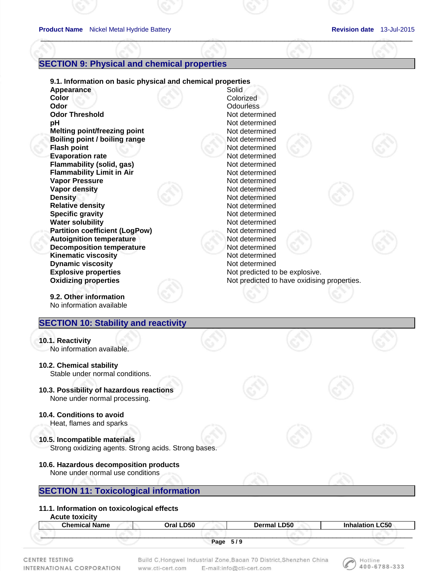## **SECTION 9: Physical and chemical properties**

**9.1. Information on basic physical and chemical properties**  Appearance Solid **Color** Colorized **Odor Contract Contract Contract Contract Contract Contract Contract Contract Contract Contract Contract Contract Contract Contract Contract Contract Contract Contract Contract Contract Contract Contract Contract Contract Odor Threshold** Not determined **pH** Not determined **Melting point/freezing point in the Contract Contract Contract Contract Contract Contract Contract Contract Contract Contract Contract Contract Contract Contract Contract Contract Contract Contract Contract Contract Contr Boiling point / boiling range Motion Research 2016** Not determined **Flash point** Not determined **Evaporation rate Not determined Flammability (solid, gas)** Not determined **Flammability Limit in Air** *Not determined* Not determined **Vapor Pressure Contract Contract Contract Contract Contract Contract Contract Contract Contract Contract Contract Contract Contract Contract Contract Contract Contract Contract Contract Contract Contract Contract Contract Vapor density Not determined Density** Not determined **Relative density Not determined Specific gravity Not determined Water solubility Not determined Not determined Partition coefficient (LogPow)** Not determined **Autoignition temperature and all and average in the Southern Not determined Decomposition temperature Motion Not determined Kinematic viscosity Not determined Dynamic viscosity Not determined Not determined Explosive properties Not predicted to be explosive.** Not predicted to be explosive. **Oxidizing properties <b>Note** Not predicted to have oxidising properties. **9.2. Other information**  No information available **SECTION 10: Stability and reactivity** 

 $\mathcal{A}^{\otimes n}$  , and the contract of the contract of the contract of the contract of the contract of the contract of the contract of the contract of the contract of the contract of the contract of the contract of the cont

#### **10.1. Reactivity**  No information available.

- **10.2. Chemical stability**  Stable under normal conditions.
- **10.3. Possibility of hazardous reactions**  None under normal processing.
- **10.4. Conditions to avoid**

Heat, flames and sparks

**10.5. Incompatible materials**  Strong oxidizing agents. Strong acids. Strong bases.

## **10.6. Hazardous decomposition products**  None under normal use conditions

## **SECTION 11: Toxicological information**

## **11.1. Information on toxicological effects**

**Acute toxicity** 

| <b>Chemical Name</b> | <b>_D50</b><br>Oral ' | <b>D50</b><br>Dormal I | <b>C50</b> |
|----------------------|-----------------------|------------------------|------------|
|                      |                       | 51 Q                   |            |
|                      | Page                  | J / J                  |            |

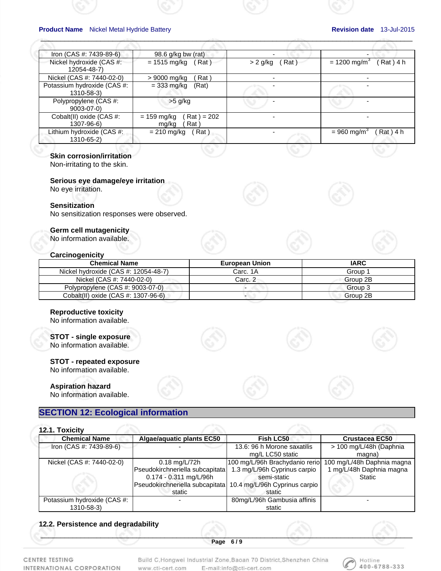| Iron $(CAS #: 7439-89-6)$                 | 98.6 $g/kg$ bw (rat)                                   |                    |                                        |
|-------------------------------------------|--------------------------------------------------------|--------------------|----------------------------------------|
| Nickel hydroxide (CAS #:<br>12054-48-7)   | $= 1515 \text{ mg/kg}$<br>(Rat)                        | Rat)<br>$> 2$ g/kg | Rat) 4 h<br>$= 1200$ mg/m <sup>3</sup> |
| Nickel (CAS #: 7440-02-0)                 | Rat)<br>> 9000 mg/kg                                   |                    |                                        |
| Potassium hydroxide (CAS #:<br>1310-58-3) | $= 333$ mg/kg<br>(Rat)                                 |                    |                                        |
| Polypropylene (CAS #:<br>$9003 - 07 - 0$  | $>5$ g/kg                                              |                    |                                        |
| Cobalt(II) oxide (CAS #:<br>1307-96-6)    | $\text{Rat}$ ) = 202<br>$= 159$ mg/kg<br>Rat)<br>mg/kg |                    |                                        |
| Lithium hydroxide (CAS #:<br>1310-65-2)   | (Rat)<br>$= 210$ mg/kg                                 |                    | $= 960$ mg/m <sup>3</sup><br>Rat) 4 h  |

 $\mathcal{A}^{\otimes n}$  , and the contract of the contract of the contract of the contract of the contract of the contract of the contract of the contract of the contract of the contract of the contract of the contract of the cont

## **Skin corrosion/irritation**

Non-irritating to the skin.

## **Serious eye damage/eye irritation**

No eye irritation.

#### **Sensitization**

No sensitization responses were observed.

## **Germ cell mutagenicity**

No information available.

#### **Carcinogenicity**

| <b>Chemical Name</b>                 | <b>European Union</b> | <b>IARC</b> |
|--------------------------------------|-----------------------|-------------|
| Nickel hydroxide (CAS #: 12054-48-7) | Carc. 1A              | Group 1     |
| Nickel (CAS #: 7440-02-0)            | Carc. 2               | Group 2B    |
| Polypropylene (CAS #: 9003-07-0)     |                       | Group 3     |
| Cobalt(II) oxide (CAS #: 1307-96-6)  |                       | Group 2B    |

## **Reproductive toxicity**

No information available.

# **STOT - single exposure**

No information available.

## **STOT - repeated exposure**

No information available.

## **Aspiration hazard**

No information available.

## **SECTION 12: Ecological information**

| 12.1. Toxicity              |                                 |                                                               |                            |
|-----------------------------|---------------------------------|---------------------------------------------------------------|----------------------------|
| <b>Chemical Name</b>        | Algae/aquatic plants EC50       | Fish LC50                                                     | Crustacea EC50             |
| Iron (CAS #: 7439-89-6)     |                                 | 13.6: 96 h Morone saxatilis                                   | > 100 mg/L/48h (Daphnia    |
|                             |                                 | mg/L LC50 static                                              | magna)                     |
| Nickel (CAS #: 7440-02-0)   | $0.18 \,\mathrm{mq/L}/72h$      | 100 mg/L/96h Brachydanio rerio                                | 100 mg/L/48h Daphnia magna |
|                             | Pseudokirchneriella subcapitata | 1.3 mg/L/96h Cyprinus carpio                                  | 1 mg/L/48h Daphnia magna   |
|                             | 0.174 - 0.311 mg/L/96h          | semi-static                                                   | Static                     |
|                             |                                 | Pseudokirchneriella subcapitata 10.4 mg/L/96h Cyprinus carpio |                            |
|                             | static                          | static                                                        |                            |
| Potassium hydroxide (CAS #: |                                 | 80mg/L/96h Gambusia affinis                                   |                            |
| 1310-58-3)                  |                                 | static                                                        |                            |

## **12.2. Persistence and degradability**

 $\mathcal{S}$  , and the contribution of  $\mathcal{S}$  , and  $\mathcal{S}$  , and  $\mathcal{S}$  , and  $\mathcal{S}$  , and  $\mathcal{S}$  , and  $\mathcal{S}$  , and  $\mathcal{S}$  , and  $\mathcal{S}$  , and  $\mathcal{S}$  , and  $\mathcal{S}$  , and  $\mathcal{S}$  , and  $\mathcal{S}$  , and  $\mathcal{S$ **Page 6 / 9** 

CENTRE TESTING INTERNATIONAL CORPORATION

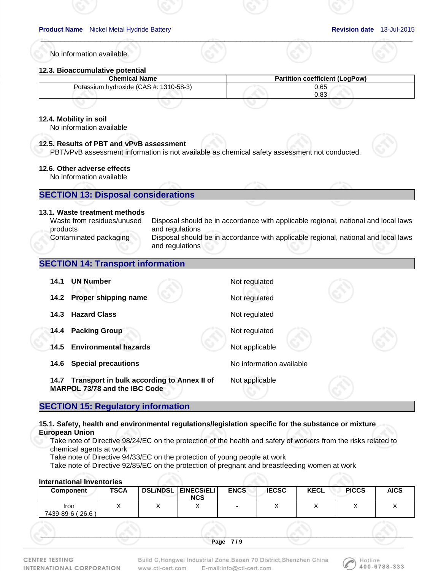No information available.

## **12.3. Bioaccumulative potential**

| <b>Chemical Name</b>                   | <b>Partition coefficient (LogPow)</b> |
|----------------------------------------|---------------------------------------|
| Potassium hydroxide (CAS #: 1310-58-3) | 0.65                                  |
|                                        | 0.83                                  |
|                                        |                                       |

 $\mathcal{A}^{\otimes n}$  , and the contract of the contract of the contract of the contract of the contract of the contract of the contract of the contract of the contract of the contract of the contract of the contract of the cont

## **12.4. Mobility in soil**

No information available

## **12.5. Results of PBT and vPvB assessment**

PBT/vPvB assessment information is not available as chemical safety assessment not conducted.

## **12.6. Other adverse effects**

No information available

## **SECTION 13: Disposal considerations**

## **13.1. Waste treatment methods**

Waste from residues/unused products

Disposal should be in accordance with applicable regional, national and local laws and regulations Contaminated packaging Disposal should be in accordance with applicable regional, national and local laws and regulations

## **SECTION 14: Transport information**

| 14.1 | <b>UN Number</b>                                                            | Not regulated            |  |
|------|-----------------------------------------------------------------------------|--------------------------|--|
| 14.2 | Proper shipping name                                                        | Not regulated            |  |
| 14.3 | <b>Hazard Class</b>                                                         | Not regulated            |  |
| 14.4 | <b>Packing Group</b>                                                        | Not regulated            |  |
| 14.5 | <b>Environmental hazards</b>                                                | Not applicable           |  |
| 14.6 | <b>Special precautions</b>                                                  | No information available |  |
| 14.7 | Transport in bulk according to Annex II of<br>MARPOL 73/78 and the IBC Code | Not applicable           |  |

## **SECTION 15: Regulatory information**

## **15.1. Safety, health and environmental regulations/legislation specific for the substance or mixture European Union**

Take note of Directive 98/24/EC on the protection of the health and safety of workers from the risks related to chemical agents at work

Take note of Directive 94/33/EC on the protection of young people at work

Take note of Directive 92/85/EC on the protection of pregnant and breastfeeding women at work

## **International Inventories**

| <b>Component</b>                    | <b>TSCA</b> | <b>DSL/NDSL EINECS/ELI</b><br><b>NCS</b> | <b>ENCS</b> | <b>IECSC</b> | <b>KECL</b> | <b>PICCS</b> | <b>AICS</b> |
|-------------------------------------|-------------|------------------------------------------|-------------|--------------|-------------|--------------|-------------|
| Iron<br>$'$ 26.6 $'$<br>7439-89-6 ( |             |                                          |             |              |             |              |             |
|                                     |             |                                          |             |              |             |              |             |

 $\mathcal{S}$  , and the contribution of  $\mathcal{S}$  , and  $\mathcal{S}$  , and  $\mathcal{S}$  , and  $\mathcal{S}$  , and  $\mathcal{S}$  , and  $\mathcal{S}$  , and  $\mathcal{S}$  , and  $\mathcal{S}$  , and  $\mathcal{S}$  , and  $\mathcal{S}$  , and  $\mathcal{S}$  , and  $\mathcal{S}$  , and  $\mathcal{S$ **Page 7 / 9** 

CENTRE TESTING INTERNATIONAL CORPORATION

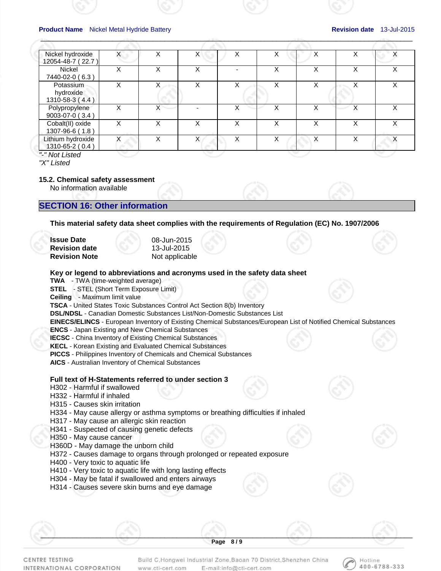Hotline 400-6788-333

| Nickel hydroxide<br>12054-48-7 (22.7)     | X | v            | X | х | х | X                 |   |   |
|-------------------------------------------|---|--------------|---|---|---|-------------------|---|---|
| Nickel<br>7440-02-0 (6.3)                 | х | х            | х |   | х | v<br>⌒            |   | Χ |
| Potassium<br>hydroxide<br>1310-58-3 (4.4) | X | X            | X | X | X | $\checkmark$      |   |   |
| Polypropylene<br>9003-07-0 (3.4)          | X | X            |   |   | x | v                 |   | x |
| Cobalt(II) oxide<br>1307-96-6 (1.8)       | X | x            | X | x | x | $\checkmark$<br>́ | x | x |
| Lithium hydroxide<br>1310-65-2 (0.4)      |   | $\checkmark$ | x | Χ | Χ | $\checkmark$<br>⋏ |   |   |
| "-" Not Listed                            |   |              |   |   |   |                   |   |   |

 $\mathcal{A}^{\otimes n}$  , and the contract of the contract of the contract of the contract of the contract of the contract of the contract of the contract of the contract of the contract of the contract of the contract of the cont

*"X" Listed* 

#### **15.2. Chemical safety assessment**

No information available

## **SECTION 16: Other information**

**This material safety data sheet complies with the requirements of Regulation (EC) No. 1907/2006** 

| <b>Issue Date</b>    | 08-Jun-2015    |
|----------------------|----------------|
| <b>Revision date</b> | 13-Jul-2015    |
| <b>Revision Note</b> | Not applicable |

#### **Key or legend to abbreviations and acronyms used in the safety data sheet**

**TWA** - TWA (time-weighted average)

**STEL** - STEL (Short Term Exposure Limit)

**Ceiling** - Maximum limit value

**TSCA** - United States Toxic Substances Control Act Section 8(b) Inventory

**DSL/NDSL** - Canadian Domestic Substances List/Non-Domestic Substances List

**EINECS/ELINCS** - European Inventory of Existing Chemical Substances/European List of Notified Chemical Substances

**ENCS** - Japan Existing and New Chemical Substances

**IECSC** - China Inventory of Existing Chemical Substances

**KECL** - Korean Existing and Evaluated Chemical Substances

**PICCS** - Philippines Inventory of Chemicals and Chemical Substances

**AICS** - Australian Inventory of Chemical Substances

## **Full text of H-Statements referred to under section 3**

- H302 Harmful if swallowed
- H332 Harmful if inhaled
- H315 Causes skin irritation
- H334 May cause allergy or asthma symptoms or breathing difficulties if inhaled
- H317 May cause an allergic skin reaction
- H341 Suspected of causing genetic defects
- H350 May cause cancer
- H360D May damage the unborn child
- H372 Causes damage to organs through prolonged or repeated exposure
- H400 Very toxic to aquatic life
- H410 Very toxic to aquatic life with long lasting effects
- H304 May be fatal if swallowed and enters airways
- H314 Causes severe skin burns and eye damage

CENTRE TESTING INTERNATIONAL CORPORATION Build C, Hongwei Industrial Zone, Baoan 70 District, Shenzhen China E-mail:info@cti-cert.com www.cti-cert.com

 $\mathcal{S}$  , and the contribution of  $\mathcal{S}$  , and  $\mathcal{S}$  , and  $\mathcal{S}$  , and  $\mathcal{S}$  , and  $\mathcal{S}$  , and  $\mathcal{S}$  , and  $\mathcal{S}$  , and  $\mathcal{S}$  , and  $\mathcal{S}$  , and  $\mathcal{S}$  , and  $\mathcal{S}$  , and  $\mathcal{S}$  , and  $\mathcal{S$ **Page 8 / 9**